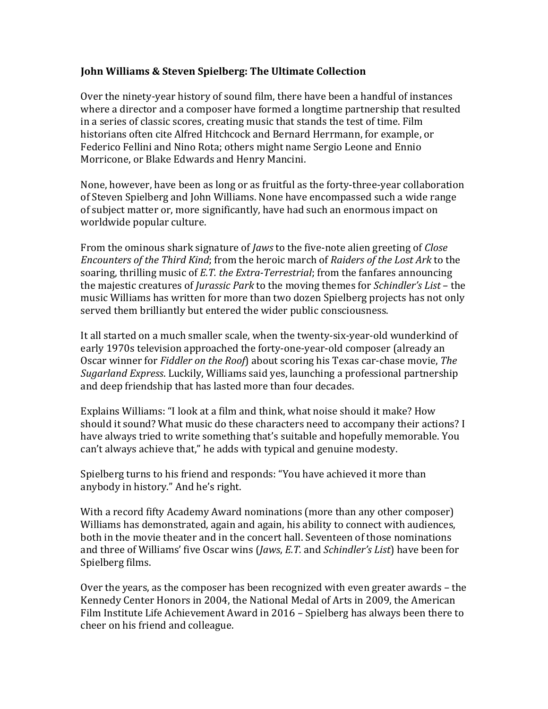## **John Williams & Steven Spielberg: The Ultimate Collection**

Over the ninety-year history of sound film, there have been a handful of instances where a director and a composer have formed a longtime partnership that resulted in a series of classic scores, creating music that stands the test of time. Film historians often cite Alfred Hitchcock and Bernard Herrmann, for example, or Federico Fellini and Nino Rota; others might name Sergio Leone and Ennio Morricone, or Blake Edwards and Henry Mancini.

None, however, have been as long or as fruitful as the forty-three-year collaboration of Steven Spielberg and John Williams. None have encompassed such a wide range of subject matter or, more significantly, have had such an enormous impact on worldwide popular culture.

From the ominous shark signature of *Jaws* to the five-note alien greeting of *Close Encounters of the Third Kind;* from the heroic march of *Raiders of the Lost Ark* to the soaring, thrilling music of *E.T. the Extra-Terrestrial*; from the fanfares announcing the majestic creatures of *Jurassic Park* to the moving themes for *Schindler's List* – the music Williams has written for more than two dozen Spielberg projects has not only served them brilliantly but entered the wider public consciousness.

It all started on a much smaller scale, when the twenty-six-year-old wunderkind of early 1970s television approached the forty-one-year-old composer (already an Oscar winner for *Fiddler on the Roof*) about scoring his Texas car-chase movie, *The Sugarland Express.* Luckily, Williams said yes, launching a professional partnership and deep friendship that has lasted more than four decades.

Explains Williams: "I look at a film and think, what noise should it make? How should it sound? What music do these characters need to accompany their actions? I have always tried to write something that's suitable and hopefully memorable. You can't always achieve that," he adds with typical and genuine modesty.

Spielberg turns to his friend and responds: "You have achieved it more than anybody in history." And he's right.

With a record fifty Academy Award nominations (more than any other composer) Williams has demonstrated, again and again, his ability to connect with audiences, both in the movie theater and in the concert hall. Seventeen of those nominations and three of Williams' five Oscar wins (*Jaws, E.T.* and *Schindler's List*) have been for Spielberg films.

Over the years, as the composer has been recognized with even greater awards – the Kennedy Center Honors in 2004, the National Medal of Arts in 2009, the American Film Institute Life Achievement Award in  $2016$  – Spielberg has always been there to cheer on his friend and colleague.